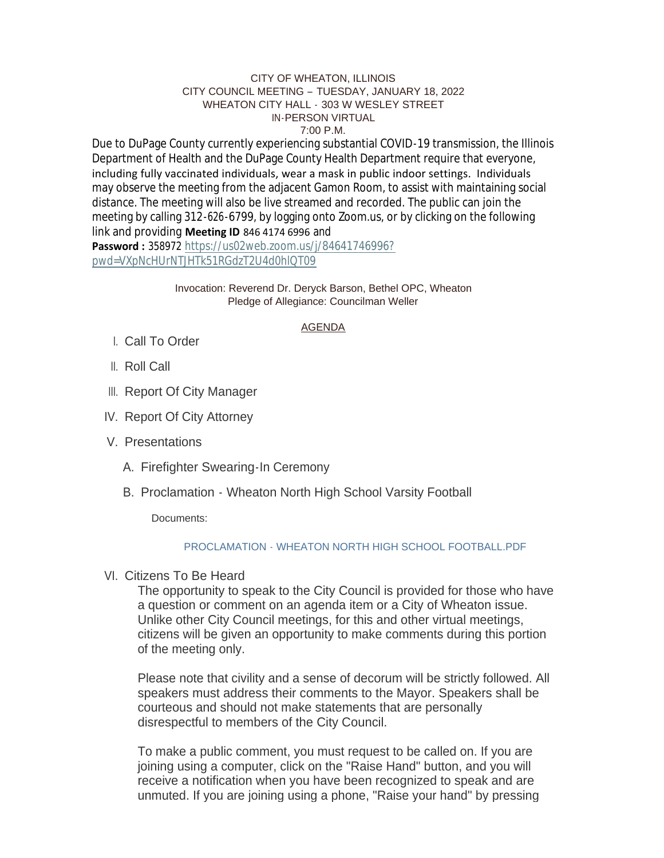### CITY OF WHEATON, ILLINOIS CITY COUNCIL MEETING – TUESDAY, JANUARY 18, 2022 WHEATON CITY HALL - 303 W WESLEY STREET IN-PERSON VIRTUAL 7:00 P.M.

Due to DuPage County currently experiencing substantial COVID-19 transmission, the Illinois Department of Health and the DuPage County Health Department require that everyone, including fully vaccinated individuals, wear a mask in public indoor settings. Individuals may observe the meeting from the adjacent Gamon Room, to assist with maintaining social distance. The meeting will also be live streamed and recorded. The public can join the meeting by calling 312-626-6799, by logging onto Zoom.us, or by clicking on the following link and providing **Meeting ID** 846 4174 6996 and

**Password :** 358972 [https://us02web.zoom.us/j/84641746996?](https://us02web.zoom.us/j/84641746996?pwd=VXpNcHUrNTJHTk51RGdzT2U4d0hlQT09) pwd=VXpNcHUrNTJHTk51RGdzT2U4d0hlQT09

> Invocation: Reverend Dr. Deryck Barson, Bethel OPC, Wheaton Pledge of Allegiance: Councilman Weller

# AGENDA

- Call To Order I.
- ll. Roll Call
- III. Report Of City Manager
- IV. Report Of City Attorney
- V. Presentations
	- A. Firefighter Swearing-In Ceremony
	- B. Proclamation Wheaton North High School Varsity Football

Documents:

## [PROCLAMATION - WHEATON NORTH HIGH SCHOOL FOOTBALL.PDF](https://www.wheaton.il.us/AgendaCenter/ViewFile/Item/8333?fileID=10794)

VI. Citizens To Be Heard

The opportunity to speak to the City Council is provided for those who have a question or comment on an agenda item or a City of Wheaton issue. Unlike other City Council meetings, for this and other virtual meetings, citizens will be given an opportunity to make comments during this portion of the meeting only.

Please note that civility and a sense of decorum will be strictly followed. All speakers must address their comments to the Mayor. Speakers shall be courteous and should not make statements that are personally disrespectful to members of the City Council.

To make a public comment, you must request to be called on. If you are joining using a computer, click on the "Raise Hand" button, and you will receive a notification when you have been recognized to speak and are unmuted. If you are joining using a phone, "Raise your hand" by pressing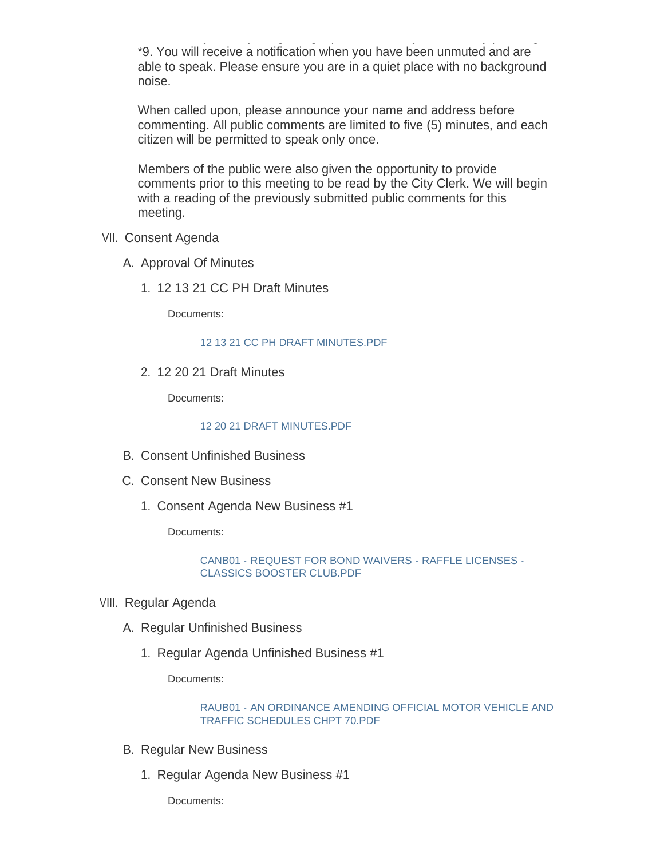unmuted. If you are joining using a phone, "Raise your hand" by pressing \*9. You will receive a notification when you have been unmuted and are able to speak. Please ensure you are in a quiet place with no background noise.

When called upon, please announce your name and address before commenting. All public comments are limited to five (5) minutes, and each citizen will be permitted to speak only once.

Members of the public were also given the opportunity to provide comments prior to this meeting to be read by the City Clerk. We will begin with a reading of the previously submitted public comments for this meeting.

- VII. Consent Agenda
	- A. Approval Of Minutes
		- 12 13 21 CC PH Draft Minutes 1.

Documents:

[12 13 21 CC PH DRAFT MINUTES.PDF](https://www.wheaton.il.us/AgendaCenter/ViewFile/Item/8337?fileID=10795)

12 20 21 Draft Minutes 2.

Documents:

### [12 20 21 DRAFT MINUTES.PDF](https://www.wheaton.il.us/AgendaCenter/ViewFile/Item/8338?fileID=10796)

- B. Consent Unfinished Business
- C. Consent New Business
	- 1. Consent Agenda New Business #1

Documents:

[CANB01 - REQUEST FOR BOND WAIVERS - RAFFLE LICENSES -](https://www.wheaton.il.us/AgendaCenter/ViewFile/Item/8341?fileID=10797) CLASSICS BOOSTER CLUB.PDF

- VIII. Regular Agenda
	- A. Regular Unfinished Business
		- 1. Regular Agenda Unfinished Business #1

Documents:

## [RAUB01 - AN ORDINANCE AMENDING OFFICIAL MOTOR VEHICLE AND](https://www.wheaton.il.us/AgendaCenter/ViewFile/Item/8344?fileID=10798)  TRAFFIC SCHEDULES CHPT 70.PDF

- **B. Regular New Business** 
	- 1. Regular Agenda New Business #1

Documents: